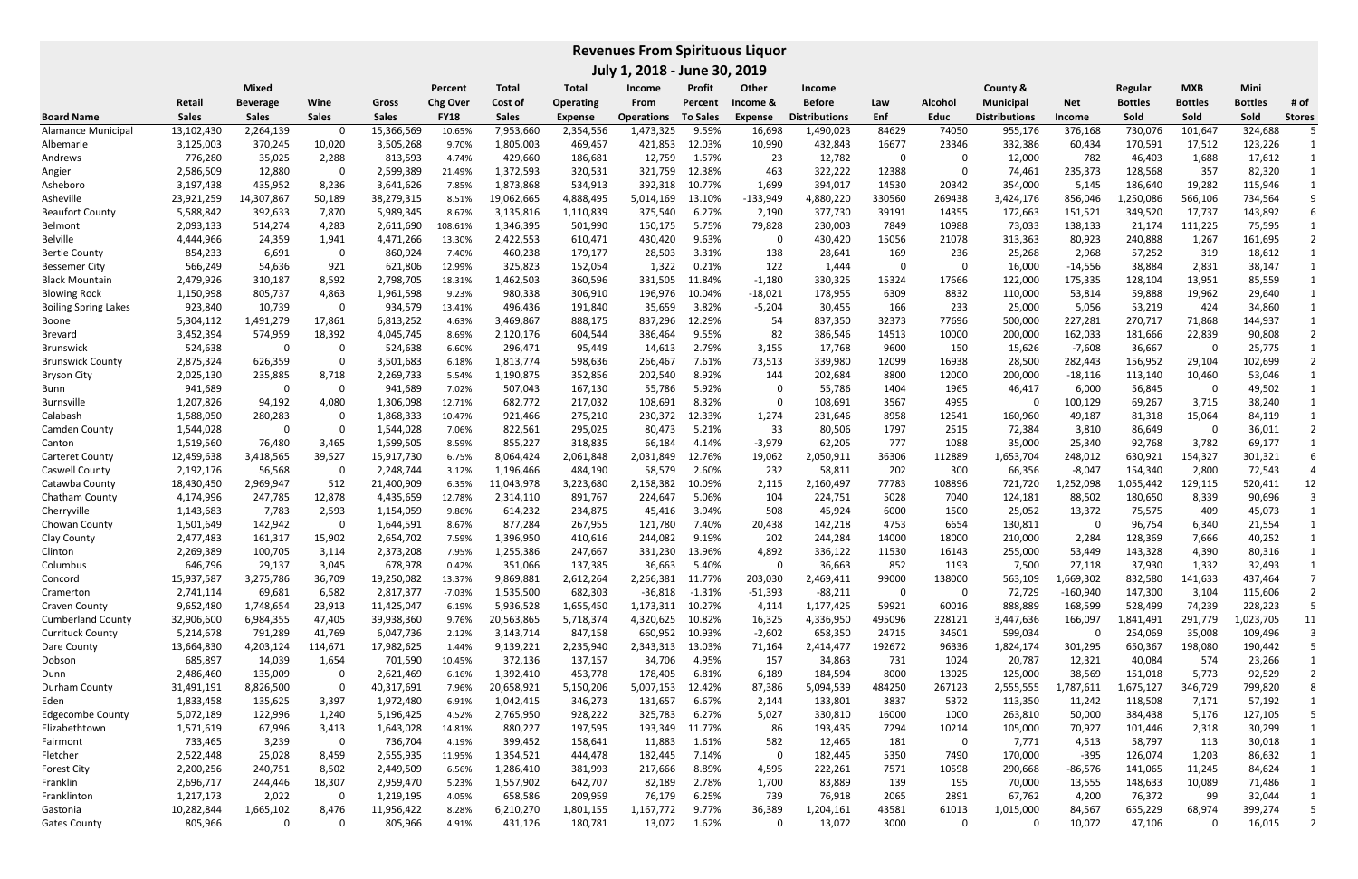|                             | <b>Mixed</b> |                 |              |              | Percent     | Total        | Total          | <b>Income</b>     | <b>Profit</b>   | Other          | Income               |            |                | County &             |               | Regular        | <b>MXB</b>     | Mini           |               |
|-----------------------------|--------------|-----------------|--------------|--------------|-------------|--------------|----------------|-------------------|-----------------|----------------|----------------------|------------|----------------|----------------------|---------------|----------------|----------------|----------------|---------------|
|                             | Retail       | <b>Beverage</b> | Wine         | Gross        | Chg Over    | Cost of      | Operating      | From              | Percent         | Income &       | <b>Before</b>        | Law        | <b>Alcohol</b> | <b>Municipal</b>     | <b>Net</b>    | <b>Bottles</b> | <b>Bottles</b> | <b>Bottles</b> | # of          |
| <b>Board Name</b>           | <b>Sales</b> | <b>Sales</b>    | <b>Sales</b> | <b>Sales</b> | <b>FY18</b> | <b>Sales</b> | <b>Expense</b> | <b>Operations</b> | <b>To Sales</b> | <b>Expense</b> | <b>Distributions</b> | <b>Enf</b> | <b>Educ</b>    | <b>Distributions</b> | <b>Income</b> | Sold           | Sold           | Sold           | <b>Stores</b> |
| Alamance Municipal          | 13,102,430   | 2,264,139       | 0            | 15,366,569   | 10.65%      | 7,953,660    | 2,354,556      | 1,473,325         | 9.59%           | 16,698         | 1,490,023            | 84629      | 74050          | 955,176              | 376,168       | 730,076        | 101,647        | 324,688        |               |
| Albemarle                   | 3,125,003    | 370,245         | 10,020       | 3,505,268    | 9.70%       | 1,805,003    | 469,457        | 421,853           | 12.03%          | 10,990         | 432,843              | 16677      | 23346          | 332,386              | 60,434        | 170,591        | 17,512         | 123,226        |               |
| Andrews                     | 776,280      | 35,025          | 2,288        | 813,593      | 4.74%       | 429,660      | 186,681        | 12,759            | 1.57%           | 23             | 12,782               | - 0        | 0              | 12,000               | 782           | 46,403         | 1,688          | 17,612         |               |
| Angier                      | 2,586,509    | 12,880          | 0            | 2,599,389    | 21.49%      | 1,372,593    | 320,531        | 321,759           | 12.38%          | 463            | 322,222              | 12388      | 0              | 74,461               | 235,373       | 128,568        | 357            | 82,320         |               |
| Asheboro                    | 3,197,438    | 435,952         | 8,236        | 3,641,626    | 7.85%       | 1,873,868    | 534,913        | 392,318           | 10.77%          | 1,699          | 394,017              | 14530      | 20342          | 354,000              | 5,145         | 186,640        | 19,282         | 115,946        |               |
| Asheville                   | 23,921,259   | 14,307,867      | 50,189       | 38,279,315   | 8.51%       | 19,062,665   | 4,888,495      | 5,014,169         | 13.10%          | -133,949       | 4,880,220            | 330560     | 269438         | 3,424,176            | 856,046       | ,250,086       | 566,106        | 734,564        |               |
| <b>Beaufort County</b>      | 5,588,842    | 392,633         | 7,870        | 5,989,345    | 8.67%       | 3,135,816    | 1,110,839      | 375,540           | 6.27%           | 2,190          | 377,730              | 39191      | 14355          | 172,663              | 151,521       | 349,520        | 17,737         | 143,892        |               |
| <b>Belmont</b>              | 2,093,133    | 514,274         | 4,283        | 2,611,690    | 108.61%     | 1,346,395    | 501,990        | 150,175           | 5.75%           | 79,828         | 230,003              | 7849       | 10988          | 73,033               | 138,133       | 21,174         | 111,225        | 75,595         |               |
| <b>Belville</b>             | 4,444,966    | 24,359          | 1,941        | 4,471,266    | 13.30%      | 2,422,553    | 610,471        | 430,420           | 9.63%           | 0              | 430,420              | 15056      | 21078          | 313,363              | 80,923        | 240,888        | 1,267          | 161,695        |               |
| <b>Bertie County</b>        | 854,233      | 6,691           | 0            | 860,924      | 7.40%       | 460,238      | 179,177        | 28,503            | 3.31%           | 138            | 28,641               | 169        | 236            | 25,268               | 2,968         | 57,252         | 319            | 18,612         |               |
| <b>Bessemer City</b>        | 566,249      | 54,636          | 921          | 621,806      | 12.99%      | 325,823      | 152,054        | 1,322             | 0.21%           | 122            | 1,444                | -0         | 0              | 16,000               | $-14,556$     | 38,884         | 2,831          | 38,147         |               |
| <b>Black Mountain</b>       | 2,479,926    | 310,187         | 8,592        | 2,798,705    | 18.31%      | 1,462,503    | 360,596        | 331,505           | 11.84%          | $-1,180$       | 330,325              | 15324      | 17666          | 122,000              | 175,335       | 128,104        | 13,951         | 85,559         |               |
| <b>Blowing Rock</b>         | 1,150,998    | 805,737         | 4,863        | 1,961,598    | 9.23%       | 980,338      | 306,910        | 196,976           | 10.04%          | $-18,021$      | 178,955              | 6309       | 8832           | 110,000              | 53,814        | 59,888         | 19,962         | 29,640         |               |
| <b>Boiling Spring Lakes</b> | 923,840      | 10,739          | 0            | 934,579      | 13.41%      | 496,436      | 191,840        | 35,659            | 3.82%           | $-5,204$       | 30,455               | 166        | 233            | 25,000               | 5,056         | 53,219         | 424            | 34,860         |               |
| Boone                       | 5,304,112    | 1,491,279       | 17,861       | 6,813,252    | 4.63%       | 3,469,867    | 888,175        | 837,296           | 12.29%          | 54             | 837,350              | 32373      | 77696          | 500,000              | 227,281       | 270,717        | 71,868         | 144,937        |               |
| Brevard                     | 3,452,394    | 574,959         | 18,392       | 4,045,745    | 8.69%       | 2,120,176    | 604,544        | 386,464           | 9.55%           | 82             | 386,546              | 14513      | 10000          | 200,000              | 162,033       | 181,666        | 22,839         | 90,808         |               |
| Brunswick                   | 524,638      | 0               | 0            | 524,638      | 6.60%       | 296,471      | 95,449         | 14,613            | 2.79%           | 3,155          | 17,768               | 9600       | 150            | 15,626               | $-7,608$      | 36,667         | - 0            | 25,775         |               |
| <b>Brunswick County</b>     | 2,875,324    | 626,359         | 0            | 3,501,683    | 6.18%       | 1,813,774    | 598,636        | 266,467           | 7.61%           | 73,513         | 339,980              | 12099      | 16938          | 28,500               | 282,443       | 156,952        | 29,104         | 102,699        |               |
| <b>Bryson City</b>          | 2,025,130    | 235,885         | 8,718        | 2,269,733    | 5.54%       | 1,190,875    | 352,856        | 202,540           | 8.92%           | 144            | 202,684              | 8800       | 12000          | 200,000              | $-18,116$     | 113,140        | 10,460         | 53,046         |               |
| Bunn                        | 941,689      | 0               | 0            | 941,689      | 7.02%       | 507,043      | 167,130        | 55,786            | 5.92%           |                | 55,786               | 1404       | 1965           | 46,417               | 6,000         | 56,845         | -0             | 49,502         |               |
| <b>Burnsville</b>           | 1,207,826    | 94,192          | 4,080        | 1,306,098    | 12.71%      | 682,772      | 217,032        | 108,691           | 8.32%           | 0              | 108,691              | 3567       | 4995           | 0                    | 100,129       | 69,267         | 3,715          | 38,240         |               |
| Calabash                    | 1,588,050    | 280,283         | 0            | 1,868,333    | 10.47%      | 921,466      | 275,210        | 230,372           | 12.33%          | 1,274          | 231,646              | 8958       | 12541          | 160,960              | 49,187        | 81,318         | 15,064         | 84,119         |               |
| Camden County               | 1,544,028    | 0               | 0            | 1,544,028    | 7.06%       | 822,561      | 295,025        | 80,473            | 5.21%           | 33             | 80,506               | 1797       | 2515           | 72,384               | 3,810         | 86,649         | 0              | 36,011         |               |
| Canton                      | 1,519,560    | 76,480          | 3,465        | 1,599,505    | 8.59%       | 855,227      | 318,835        | 66,184            | 4.14%           | $-3,979$       | 62,205               | 777        | 1088           | 35,000               | 25,340        | 92,768         | 3,782          | 69,177         |               |
| <b>Carteret County</b>      | 12,459,638   | 3,418,565       | 39,527       | 15,917,730   | 6.75%       | 8,064,424    | 2,061,848      | 2,031,849         | 12.76%          | 19,062         | 2,050,911            | 36306      | 112889         | 1,653,704            | 248,012       | 630,921        | 154,327        | 301,321        |               |
| Caswell County              | 2,192,176    | 56,568          | 0            | 2,248,744    | 3.12%       | 1,196,466    | 484,190        | 58,579            | 2.60%           | 232            | 58,811               | 202        | 300            | 66,356               | -8,047        | 154,340        | 2,800          | 72,543         |               |
| Catawba County              | 18,430,450   | 2,969,947       | 512          | 21,400,909   | 6.35%       | 11,043,978   | 3,223,680      | 2,158,382         | 10.09%          | 2,115          | 2,160,497            | 77783      | 108896         | 721,720              | .,252,098     | ,055,442       | 129,115        | 520,411        | 12            |
| Chatham County              | 4,174,996    | 247,785         | 12,878       | 4,435,659    | 12.78%      | 2,314,110    | 891,767        | 224,647           | 5.06%           | 104            | 224,751              | 5028       | 7040           | 124,181              | 88,502        | 180,650        | 8,339          | 90,696         |               |
| Cherryville                 | 1,143,683    | 7,783           | 2,593        | 1,154,059    | 9.86%       | 614,232      | 234,875        | 45,416            | 3.94%           | 508            | 45,924               | 6000       | 1500           | 25,052               | 13,372        | 75,575         | 409            | 45,073         |               |
| Chowan County               | 1,501,649    | 142,942         | 0            | 1,644,591    | 8.67%       | 877,284      | 267,955        | 121,780           | 7.40%           | 20,438         | 142,218              | 4753       | 6654           | 130,811              |               | 96,754         | 6,340          | 21,554         |               |
| Clay County                 | 2,477,483    | 161,317         | 15,902       | 2,654,702    | 7.59%       | 1,396,950    | 410,616        | 244,082           | 9.19%           | 202            | 244,284              | 14000      | 18000          | 210,000              | 2,284         | 128,369        | 7,666          | 40,252         |               |
| Clinton                     | 2,269,389    | 100,705         | 3,114        | 2,373,208    | 7.95%       | 1,255,386    | 247,667        | 331,230           | 13.96%          | 4,892          | 336,122              | 11530      | 16143          | 255,000              | 53,449        | 143,328        | 4,390          | 80,316         |               |
| Columbus                    | 646,796      | 29,137          | 3,045        | 678,978      | 0.42%       | 351,066      | 137,385        | 36,663            | 5.40%           | 0              | 36,663               | 852        | 1193           | 7,500                | 27,118        | 37,930         | 1,332          | 32,493         |               |
| Concord                     | 15,937,587   | 3,275,786       | 36,709       | 19,250,082   | 13.37%      | 9,869,881    | 2,612,264      | 2,266,381         | 11.77%          | 203,030        | 2,469,411            | 99000      | 138000         | 563,109              | 1,669,302     | 832,580        | 141,633        | 437,464        |               |
| Cramerton                   | 2,741,114    | 69,681          | 6,582        | 2,817,377    | $-7.03%$    | 1,535,500    | 682,303        | $-36,818$         | $-1.31%$        | $-51,393$      | $-88,211$            | 0          | 0              | 72,729               | $-160,940$    | 147,300        | 3,104          | 115,606        |               |
| Craven County               | 9,652,480    | 1,748,654       | 23,913       | 11,425,047   | 6.19%       | 5,936,528    | 1,655,450      | 1,173,311         | 10.27%          | 4,114          | 1,177,425            | 59921      | 60016          | 888,889              | 168,599       | 528,499        | 74,239         | 228,223        |               |
| <b>Cumberland County</b>    | 32,906,600   | 6,984,355       | 47,405       | 39,938,360   | 9.76%       | 20,563,865   | 5,718,374      | 4,320,625         | 10.82%          | 16,325         | 4,336,950            | 495096     | 228121         | 3,447,636            | 166,097       | 1,841,491      | 291,779        | 1,023,705      | 11            |
| <b>Currituck County</b>     | 5,214,678    | 791,289         | 41,769       | 6,047,736    | 2.12%       | 3,143,714    | 847,158        | 660,952           | 10.93%          | $-2,602$       | 658,350              | 24715      | 34601          | 599,034              |               | 254,069        | 35,008         | 109,496        |               |
| Dare County                 | 13,664,830   | 4,203,124       | 114,671      | 17,982,625   | 1.44%       | 9,139,221    | 2,235,940      | 2,343,313         | 13.03%          | 71,164         | 2,414,477            | 192672     | 96336          | 1,824,174            | 301,295       | 650,367        | 198,080        | 190,442        |               |
| Dobson                      | 685,897      | 14,039          | 1,654        | 701,590      | 10.45%      | 372,136      | 137,157        | 34,706            | 4.95%           | 157            | 34,863               | 731        | 1024           | 20,787               | 12,321        | 40,084         | 574            | 23,266         |               |
| Dunn                        | 2,486,460    | 135,009         | 0            | 2,621,469    | 6.16%       | 1,392,410    | 453,778        | 178,405           | 6.81%           | 6,189          | 184,594              | 8000       | 13025          | 125,000              | 38,569        | 151,018        | 5,773          | 92,529         |               |
| Durham County               | 31,491,191   | 8,826,500       | 0            | 40,317,691   | 7.96%       | 20,658,921   | 5,150,206      | 5,007,153         | 12.42%          | 87,386         | 5,094,539            | 484250     | 267123         | 2,555,555            | 1,787,611     | 1,675,127      | 346,729        | 799,820        |               |
| Eden                        | 1,833,458    | 135,625         | 3,397        | 1,972,480    | 6.91%       | 1,042,415    | 346,273        | 131,657           | 6.67%           | 2,144          | 133,801              | 3837       | 5372           | 113,350              | 11,242        | 118,508        | 7,171          | 57,192         |               |
| <b>Edgecombe County</b>     | 5,072,189    | 122,996         | 1,240        | 5,196,425    | 4.52%       | 2,765,950    | 928,222        | 325,783           | 6.27%           | 5,027          | 330,810              | 16000      | 1000           | 263,810              | 50,000        | 384,438        | 5,176          | 127,105        |               |
| Elizabethtown               | 1,571,619    | 67,996          | 3,413        | 1,643,028    | 14.81%      | 880,227      | 197,595        | 193,349           | 11.77%          | 86             | 193,435              | 7294       | 10214          | 105,000              | 70,927        | 101,446        | 2,318          | 30,299         |               |
| Fairmont                    | 733,465      | 3,239           | 0            | 736,704      | 4.19%       | 399,452      | 158,641        | 11,883            | 1.61%           | 582            | 12,465               | 181        | 0              | 7,771                | 4,513         | 58,797         | 113            | 30,018         |               |
| Fletcher                    | 2,522,448    | 25,028          | 8,459        | 2,555,935    | 11.95%      | 1,354,521    | 444,478        | 182,445           | 7.14%           | 0              | 182,445              | 5350       | 7490           | 170,000              | $-395$        | 126,074        | 1,203          | 86,632         |               |
| <b>Forest City</b>          | 2,200,256    | 240,751         | 8,502        | 2,449,509    | 6.56%       | 1,286,410    | 381,993        | 217,666           | 8.89%           | 4,595          | 222,261              | 7571       | 10598          | 290,668              | $-86,576$     | 141,065        | 11,245         | 84,624         |               |
| Franklin                    | 2,696,717    | 244,446         | 18,307       | 2,959,470    | 5.23%       | 1,557,902    | 642,707        | 82,189            | 2.78%           | 1,700          | 83,889               | 139        | 195            | 70,000               | 13,555        | 148,633        | 10,089         | 71,486         |               |
| Franklinton                 | 1,217,173    | 2,022           | 0            | 1,219,195    | 4.05%       | 658,586      | 209,959        | 76,179            | 6.25%           | 739            | 76,918               | 2065       | 2891           | 67,762               | 4,200         | 76,372         | 99             | 32,044         |               |
| Gastonia                    | 10,282,844   | 1,665,102       | 8,476        | 11,956,422   | 8.28%       | 6,210,270    | 1,801,155      | 1,167,772         | 9.77%           | 36,389         | 1,204,161            | 43581      | 61013          | 1,015,000            | 84,567        | 655,229        | 68,974         | 399,274        |               |
| <b>Gates County</b>         | 805,966      | 0               | 0            | 805,966      | 4.91%       | 431,126      | 180,781        | 13,072            | 1.62%           | 0              | 13,072               | 3000       | 0              | 0                    | 10,072        | 47,106         | 0              | 16,015         |               |

**July 1, 2018 ‐ June 30, 2019**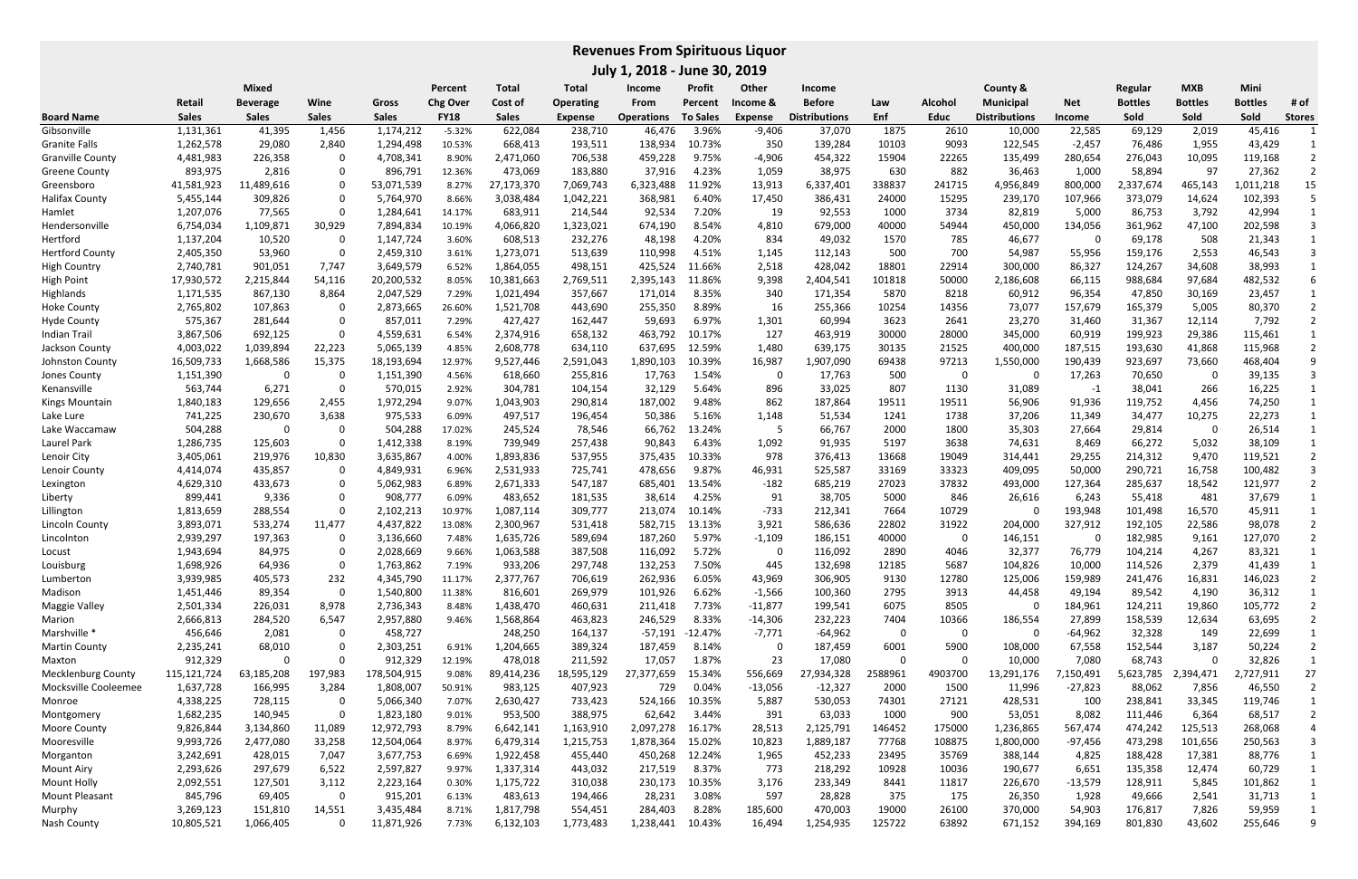**July 1, 2018 ‐ June 30, 2019**

|                           | Mixed        |                 |              |              | Percent     | <b>Total</b> | <b>Total</b>     | Income            | Profit          | Other     | <b>Income</b>        |         |             | County &             |            | Regular        | <b>MXB</b>     | Mini           |               |
|---------------------------|--------------|-----------------|--------------|--------------|-------------|--------------|------------------|-------------------|-----------------|-----------|----------------------|---------|-------------|----------------------|------------|----------------|----------------|----------------|---------------|
|                           | Retail       | <b>Beverage</b> | Wine         | Gross        | Chg Ove     | Cost of      | <b>Operating</b> | From              | Percent         | Income &  | <b>Before</b>        | Law     | Alcohol     | <b>Municipal</b>     | <b>Net</b> | <b>Bottles</b> | <b>Bottles</b> | <b>Bottles</b> | # of          |
| <b>Board Name</b>         | <b>Sales</b> | <b>Sales</b>    | <b>Sales</b> | <b>Sales</b> | <b>FY18</b> | <b>Sales</b> | Expense          | <b>Operations</b> | <b>To Sales</b> | Expense   | <b>Distributions</b> | Enf     | <b>Educ</b> | <b>Distributions</b> | Income     | Sold           | Sold           | Sold           | <b>Stores</b> |
| Gibsonville               | 1,131,361    | 41,395          | 1,456        | 1,174,212    | $-5.32%$    | 622,084      | 238,710          | 46,476            | 3.96%           | $-9,406$  | 37,070               | 1875    | 2610        | 10,000               | 22,585     | 69,129         | 2,019          | 45,416         |               |
| <b>Granite Falls</b>      | 1,262,578    | 29,080          | 2,840        | 1,294,498    | 10.53%      | 668,413      | 193,511          | 138,934           | 10.73%          | 350       | 139,284              | 10103   | 9093        | 122,545              | $-2,457$   | 76,486         | 1,955          | 43,429         |               |
| <b>Granville County</b>   | 4,481,983    | 226,358         | $\mathbf{0}$ | 4,708,341    | 8.90%       | 2,471,060    | 706,538          | 459,228           | 9.75%           | $-4,906$  | 454,322              | 15904   | 22265       | 135,499              | 280,654    | 276,043        | 10,095         | 119,168        |               |
| <b>Greene County</b>      | 893,975      | 2,816           | $\mathbf{0}$ | 896,791      | 12.36%      | 473,069      | 183,880          | 37,916            | 4.23%           | 1,059     | 38,975               | 630     | 882         | 36,463               | 1,000      | 58,894         | 97             | 27,362         |               |
| Greensboro                | 41,581,923   | 11,489,616      | $\mathbf{0}$ | 53,071,539   | 8.27%       | 27,173,370   | 7,069,743        | 6,323,488         | 11.92%          | 13,913    | 6,337,401            | 338837  | 241715      | 4,956,849            | 800,000    | 2,337,674      | 465,143        | L,011,218      | 15            |
| <b>Halifax County</b>     | 5,455,144    | 309,826         |              | 5,764,970    | 8.66%       | 3,038,484    | 1,042,221        | 368,981           | 6.40%           | 17,450    | 386,431              | 24000   | 15295       | 239,170              | 107,966    | 373,079        | 14,624         | 102,393        |               |
| Hamlet                    | 1,207,076    | 77,565          | $\mathbf{0}$ | 1,284,641    | 14.17%      | 683,911      | 214,544          | 92,534            | 7.20%           | 19        | 92,553               | 1000    | 3734        | 82,819               | 5,000      | 86,753         | 3,792          | 42,994         |               |
| Hendersonville            | 6,754,034    | 1,109,871       | 30,929       | 7,894,834    | 10.19%      | 4,066,820    | 1,323,021        | 674,190           | 8.54%           | 4,810     | 679,000              | 40000   | 54944       | 450,000              | 134,056    | 361,962        | 47,100         | 202,598        |               |
| Hertford                  | 1,137,204    | 10,520          | 0            | 1,147,724    | 3.60%       | 608,513      | 232,276          | 48,198            | 4.20%           | 834       | 49,032               | 1570    | 785         | 46,677               |            | 69,178         | 508            | 21,343         |               |
| <b>Hertford County</b>    | 2,405,350    | 53,960          | $\mathbf{0}$ | 2,459,310    | 3.61%       | 1,273,071    | 513,639          | 110,998           | 4.51%           | 1,145     | 112,143              | 500     | 700         | 54,987               | 55,956     | 159,176        | 2,553          | 46,543         |               |
| <b>High Country</b>       | 2,740,781    | 901,051         | 7,747        | 3,649,579    | 6.52%       | 1,864,055    | 498,151          | 425,524           | 11.66%          | 2,518     | 428,042              | 18801   | 22914       | 300,000              | 86,327     | 124,267        | 34,608         | 38,993         |               |
| <b>High Point</b>         | 17,930,572   | 2,215,844       | 54,116       | 20,200,532   | 8.05%       | 10,381,663   | 2,769,511        | 2,395,143         | 11.86%          | 9,398     | 2,404,541            | 101818  | 50000       | 2,186,608            | 66,115     | 988,684        | 97,684         | 482,532        |               |
| Highlands                 | 1,171,535    | 867,130         | 8,864        | 2,047,529    | 7.29%       | 1,021,494    | 357,667          | 171,014           | 8.35%           | 340       | 171,354              | 5870    | 8218        | 60,912               | 96,354     | 47,850         | 30,169         | 23,457         |               |
| <b>Hoke County</b>        | 2,765,802    | 107,863         | $\Omega$     | 2,873,665    | 26.60%      | 1,521,708    | 443,690          | 255,350           | 8.89%           | 16        | 255,366              | 10254   | 14356       | 73,077               | 157,679    | 165,379        | 5,005          | 80,370         |               |
| <b>Hyde County</b>        | 575,367      | 281,644         | $\Omega$     | 857,011      | 7.29%       | 427,427      | 162,447          | 59,693            | 6.97%           | 1,301     | 60,994               | 3623    | 2641        | 23,270               | 31,460     | 31,367         | 12,114         | 7,792          |               |
| <b>Indian Trail</b>       | 3,867,506    | 692,125         | $\Omega$     | 4,559,631    | 6.54%       | 2,374,916    | 658,132          | 463,792           | 10.17%          | 127       | 463,919              | 30000   | 28000       | 345,000              | 60,919     | 199,923        | 29,386         | 115,461        |               |
| Jackson County            | 4,003,022    | 1,039,894       | 22,223       | 5,065,139    | 4.85%       | 2,608,778    | 634,110          | 637,695           | 12.59%          | 1,480     | 639,175              | 30135   | 21525       | 400,000              | 187,515    | 193,630        | 41,868         | 115,968        |               |
| Johnston County           | 16,509,733   | 1,668,586       | 15,375       | 18,193,694   | 12.97%      | 9,527,446    | 2,591,043        | 1,890,103         | 10.39%          | 16,987    | 1,907,090            | 69438   | 97213       | 1,550,000            | 190,439    | 923,697        | 73,660         | 468,404        |               |
| Jones County              | 1,151,390    | 0               | 0            | 1,151,390    | 4.56%       | 618,660      | 255,816          | 17,763            | 1.54%           | 0         | 17,763               | 500     | 0           | 0                    | 17,263     | 70,650         | - 0            | 39,135         |               |
| Kenansville               | 563,744      | 6,271           | $\mathbf{0}$ | 570,015      | 2.92%       | 304,781      | 104,154          | 32,129            | 5.64%           | 896       | 33,025               | 807     | 1130        | 31,089               | $-1$       | 38,041         | 266            | 16,225         |               |
| Kings Mountain            | 1,840,183    | 129,656         | 2,455        | 1,972,294    | 9.07%       | 1,043,903    | 290,814          | 187,002           | 9.48%           | 862       | 187,864              | 19511   | 19511       | 56,906               | 91,936     | 119,752        | 4,456          | 74,250         |               |
| Lake Lure                 | 741,225      | 230,670         | 3,638        | 975,533      | 6.09%       | 497,517      | 196,454          | 50,386            | 5.16%           | 1,148     | 51,534               | 1241    | 1738        | 37,206               | 11,349     | 34,477         | 10,275         | 22,273         |               |
| Lake Waccamaw             | 504,288      | 0               | 0            | 504,288      | 17.02%      | 245,524      | 78,546           | 66,762            | 13.24%          | -5        | 66,767               | 2000    | 1800        | 35,303               | 27,664     | 29,814         | - 0            | 26,514         |               |
| Laurel Park               | 1,286,735    | 125,603         | $\Omega$     | 1,412,338    | 8.19%       | 739,949      | 257,438          | 90,843            | 6.43%           | 1,092     | 91,935               | 5197    | 3638        | 74,631               | 8,469      | 66,272         | 5,032          | 38,109         |               |
| Lenoir City               | 3,405,061    | 219,976         | 10,830       | 3,635,867    | 4.00%       | 1,893,836    | 537,955          | 375,435           | 10.33%          | 978       | 376,413              | 13668   | 19049       | 314,441              | 29,255     | 214,312        | 9,470          | 119,521        |               |
| Lenoir County             | 4,414,074    | 435,857         | 0            | 4,849,931    | 6.96%       | 2,531,933    | 725,741          | 478,656           | 9.87%           | 46,931    | 525,587              | 33169   | 33323       | 409,095              | 50,000     | 290,721        | 16,758         | 100,482        |               |
| Lexington                 | 4,629,310    | 433,673         | 0            | 5,062,983    | 6.89%       | 2,671,333    | 547,187          | 685,401           | 13.54%          | $-182$    | 685,219              | 27023   | 37832       | 493,000              | 127,364    | 285,637        | 18,542         | 121,977        |               |
| Liberty                   | 899,441      | 9,336           | 0            | 908,777      | 6.09%       | 483,652      | 181,535          | 38,614            | 4.25%           | 91        | 38,705               | 5000    | 846         | 26,616               | 6,243      | 55,418         | 481            | 37,679         |               |
| Lillington                | 1,813,659    | 288,554         | $\Omega$     | 2,102,213    | 10.97%      | 1,087,114    | 309,777          | 213,074           | 10.14%          | $-733$    | 212,341              | 7664    | 10729       | 0                    | 193,948    | 101,498        | 16,570         | 45,911         |               |
| Lincoln County            | 3,893,071    | 533,274         | 11,477       | 4,437,822    | 13.08%      | 2,300,967    | 531,418          | 582,715           | 13.13%          | 3,921     | 586,636              | 22802   | 31922       | 204,000              | 327,912    | 192,105        | 22,586         | 98,078         |               |
| Lincolnton                | 2,939,297    | 197,363         | 0            | 3,136,660    | 7.48%       | 1,635,726    | 589,694          | 187,260           | 5.97%           | $-1,109$  | 186,151              | 40000   | 0           | 146,151              |            | 182,985        | 9,161          | 127,070        |               |
| Locust                    | 1,943,694    | 84,975          |              | 2,028,669    | 9.66%       | 1,063,588    | 387,508          | 116,092           | 5.72%           | 0         | 116,092              | 2890    | 4046        | 32,377               | 76,779     | 104,214        | 4,267          | 83,321         |               |
| Louisburg                 | 1,698,926    | 64,936          |              | 1,763,862    | 7.19%       | 933,206      | 297,748          | 132,253           | 7.50%           | 445       | 132,698              | 12185   | 5687        | 104,826              | 10,000     | 114,526        | 2,379          | 41,439         |               |
| Lumberton                 | 3,939,985    | 405,573         | 232          | 4,345,790    | 11.17%      | 2,377,767    | 706,619          | 262,936           | 6.05%           | 43,969    | 306,905              | 9130    | 12780       | 125,006              | 159,989    | 241,476        | 16,831         | 146,023        |               |
| Madison                   | 1,451,446    | 89,354          | 0            | 1,540,800    | 11.38%      | 816,601      | 269,979          | 101,926           | 6.62%           | $-1,566$  | 100,360              | 2795    | 3913        | 44,458               | 49,194     | 89,542         | 4,190          | 36,312         |               |
| Maggie Valley             | 2,501,334    | 226,031         | 8,978        | 2,736,343    | 8.48%       | 1,438,470    | 460,631          | 211,418           | 7.73%           | $-11,877$ | 199,541              | 6075    | 8505        | 0                    | 184,961    | 124,211        | 19,860         | 105,772        |               |
| Marion                    | 2,666,813    | 284,520         | 6,547        | 2,957,880    | 9.46%       | 1,568,864    | 463,823          | 246,529           | 8.33%           | $-14,306$ | 232,223              | 7404    | 10366       | 186,554              | 27,899     | 158,539        | 12,634         | 63,695         |               |
| Marshville *              | 456,646      | 2,081           | 0            | 458,727      |             | 248,250      | 164,137          | $-57,191$         | -12.47%         | $-7,771$  | $-64,962$            | 0       | $\mathbf 0$ | 0                    | -64,962    | 32,328         | 149            | 22,699         |               |
| <b>Martin County</b>      | 2,235,241    | 68,010          | $\Omega$     | 2,303,251    | 6.91%       | 1,204,665    | 389,324          | 187,459           | 8.14%           | 0         | 187,459              | 6001    | 5900        | 108,000              | 67,558     | 152,544        | 3,187          | 50,224         |               |
| Maxton                    | 912,329      | 0               | 0            | 912,329      | 12.19%      | 478,018      | 211,592          | 17,057            | 1.87%           | 23        | 17,080               | 0       | 0           | 10,000               | 7,080      | 68,743         | -0             | 32,826         |               |
| <b>Mecklenburg County</b> | 115,121,724  | 63,185,208      | 197,983      | 178,504,915  | 9.08%       | 89,414,236   | 18,595,129       | 27,377,659        | 15.34%          | 556,669   | 27,934,328           | 2588961 | 4903700     | 13,291,176           | 7,150,491  | 5,623,785      | 2,394,471      | 2,727,911      | 27            |
| Mocksville Cooleemee      | 1,637,728    | 166,995         | 3,284        | 1,808,007    | 50.91%      | 983,125      | 407,923          | 729               | 0.04%           | $-13,056$ | $-12,327$            | 2000    | 1500        | 11,996               | $-27,823$  | 88,062         | 7,856          | 46,550         |               |
| Monroe                    | 4,338,225    | 728,115         | 0            | 5,066,340    | 7.07%       | 2,630,427    | 733,423          | 524,166           | 10.35%          | 5,887     | 530,053              | 74301   | 27121       | 428,531              | 100        | 238,841        | 33,345         | 119,746        |               |
| Montgomery                | 1,682,235    | 140,945         | 0            | 1,823,180    | 9.01%       | 953,500      | 388,975          | 62,642            | 3.44%           | 391       | 63,033               | 1000    | 900         | 53,051               | 8,082      | 111,446        | 6,364          | 68,517         |               |
| Moore County              | 9,826,844    | 3,134,860       | 11,089       | 12,972,793   | 8.79%       | 6,642,141    | 1,163,910        | 2,097,278         | 16.17%          | 28,513    | 2,125,791            | 146452  | 175000      | 1,236,865            | 567,474    | 474,242        | 125,513        | 268,068        |               |
| Mooresville               | 9,993,726    | 2,477,080       | 33,258       | 12,504,064   | 8.97%       | 6,479,314    | 1,215,753        | 1,878,364         | 15.02%          | 10,823    | 1,889,187            | 77768   | 108875      | 1,800,000            | -97,456    | 473,298        | 101,656        | 250,563        |               |
| Morganton                 | 3,242,691    | 428,015         | 7,047        | 3,677,753    | 6.69%       | 1,922,458    | 455,440          | 450,268           | 12.24%          | 1,965     | 452,233              | 23495   | 35769       | 388,144              | 4,825      | 188,428        | 17,381         | 88,776         |               |
| <b>Mount Airy</b>         | 2,293,626    | 297,679         | 6,522        | 2,597,827    | 9.97%       | 1,337,314    | 443,032          | 217,519           | 8.37%           | 773       | 218,292              | 10928   | 10036       | 190,677              | 6,651      | 135,358        | 12,474         | 60,729         |               |
| Mount Holly               | 2,092,551    | 127,501         | 3,112        | 2,223,164    | 0.30%       | 1,175,722    | 310,038          | 230,173           | 10.35%          | 3,176     | 233,349              | 8441    | 11817       | 226,670              | $-13,579$  | 128,911        | 5,845          | 101,862        |               |
| Mount Pleasant            | 845,796      | 69,405          | 0            | 915,201      | 6.13%       | 483,613      | 194,466          | 28,231            | 3.08%           | 597       | 28,828               | 375     | 175         | 26,350               | 1,928      | 49,666         | 2,541          | 31,713         |               |
| Murphy                    | 3,269,123    | 151,810         | 14,551       | 3,435,484    | 8.71%       | 1,817,798    | 554,451          | 284,403           | 8.28%           | 185,600   | 470,003              | 19000   | 26100       | 370,000              | 54,903     | 176,817        | 7,826          | 59,959         |               |
| Nash County               | 10,805,521   | 1,066,405       | 0            | 11,871,926   | 7.73%       | 6,132,103    | 1,773,483        | 1,238,441         | 10.43%          | 16,494    | 1,254,935            | 125722  | 63892       | 671,152              | 394,169    | 801,830        | 43,602         | 255,646        |               |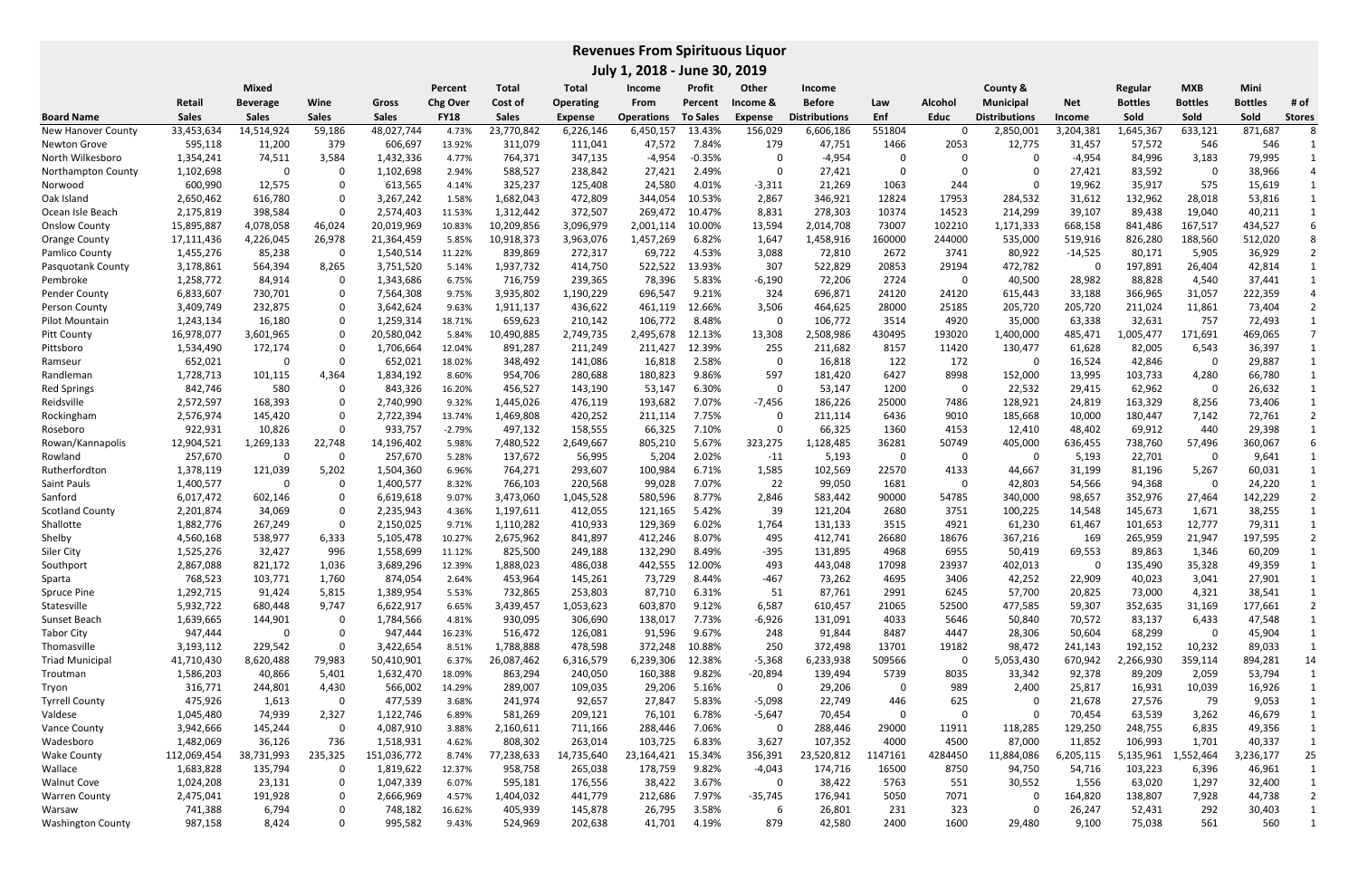**July 1, 2018 ‐ June 30, 2019**

|                          | Mixed        |                 |              | Percent      | Total       | Total        | Income           | <b>Profit</b>     | Other           | <b>Income</b> |                      |         | County &       |                      | Regular       | <b>MXB</b>     | Mini           |                |               |
|--------------------------|--------------|-----------------|--------------|--------------|-------------|--------------|------------------|-------------------|-----------------|---------------|----------------------|---------|----------------|----------------------|---------------|----------------|----------------|----------------|---------------|
|                          | Retail       | <b>Beverage</b> | Wine         | Gross        | Chg Over    | Cost of      | <b>Operating</b> | From              | Percent         | Income &      | <b>Before</b>        | Law     | <b>Alcohol</b> | <b>Municipal</b>     | <b>Net</b>    | <b>Bottles</b> | <b>Bottles</b> | <b>Bottles</b> | # of          |
| <b>Board Name</b>        | <b>Sales</b> | <b>Sales</b>    | <b>Sales</b> | <b>Sales</b> | <b>FY18</b> | <b>Sales</b> | <b>Expense</b>   | <b>Operations</b> | <b>To Sales</b> | Expense       | <b>Distributions</b> | Enf     | <b>Educ</b>    | <b>Distributions</b> | <b>Income</b> | Sold           | Sold           | Sold           | <b>Stores</b> |
| New Hanover County       | 33,453,634   | 14,514,924      | 59,186       | 48,027,744   | 4.73%       | 23,770,842   | 6,226,146        | 6,450,157         | 13.43%          | 156,029       | 6,606,186            | 551804  | 0              | 2,850,001            | 3,204,381     | 1,645,367      | 633,121        | 871,687        |               |
| Newton Grove             | 595,118      | 11,200          | 379          | 606,697      | 13.92%      | 311,079      | 111,041          | 47,572            | 7.84%           | 179           | 47,751               | 1466    | 2053           | 12,775               | 31,457        | 57,572         | 546            | 546            |               |
| North Wilkesboro         | 1,354,241    | 74,511          | 3,584        | 1,432,336    | 4.77%       | 764,371      | 347,135          | $-4,954$          | $-0.35%$        | 0             | $-4,954$             | 0       |                | 0                    | $-4,954$      | 84,996         | 3,183          | 79,995         |               |
| Northampton County       | 1,102,698    |                 | 0            | 1,102,698    | 2.94%       | 588,527      | 238,842          | 27,421            | 2.49%           | 0             | 27,421               | 0       | $\Omega$       | 0                    | 27,421        | 83,592         | - 0            | 38,966         |               |
| Norwood                  | 600,990      | 12,575          |              | 613,565      | 4.14%       | 325,237      | 125,408          | 24,580            | 4.01%           | $-3,311$      | 21,269               | 1063    | 244            | 0                    | 19,962        | 35,917         | 575            | 15,619         |               |
| Oak Island               | 2,650,462    | 616,780         |              | 3,267,242    | 1.58%       | 1,682,043    | 472,809          | 344,054           | 10.53%          | 2,867         | 346,921              | 12824   | 17953          | 284,532              | 31,612        | 132,962        | 28,018         | 53,816         |               |
| Ocean Isle Beach         | 2,175,819    | 398,584         | $\Omega$     | 2,574,403    | 11.53%      | 1,312,442    | 372,507          | 269,472           | 10.47%          | 8,831         | 278,303              | 10374   | 14523          | 214,299              | 39,107        | 89,438         | 19,040         | 40,211         |               |
| <b>Onslow County</b>     | 15,895,887   | 4,078,058       | 46,024       | 20,019,969   | 10.83%      | 10,209,856   | 3,096,979        | 2,001,114         | 10.00%          | 13,594        | 2,014,708            | 73007   | 102210         | 1,171,333            | 668,158       | 841,486        | 167,517        | 434,527        |               |
| <b>Orange County</b>     | 17,111,436   | 4,226,045       | 26,978       | 21,364,459   | 5.85%       | 10,918,373   | 3,963,076        | 1,457,269         | 6.82%           | 1,647         | 1,458,916            | 160000  | 244000         | 535,000              | 519,916       | 826,280        | 188,560        | 512,020        |               |
| Pamlico County           | 1,455,276    | 85,238          | 0            | 1,540,514    | 11.22%      | 839,869      | 272,317          | 69,722            | 4.53%           | 3,088         | 72,810               | 2672    | 3741           | 80,922               | $-14,525$     | 80,171         | 5,905          | 36,929         |               |
| Pasquotank County        | 3,178,861    | 564,394         | 8,265        | 3,751,520    | 5.14%       | 1,937,732    | 414,750          | 522,522           | 13.93%          | 307           | 522,829              | 20853   | 29194          | 472,782              |               | 197,891        | 26,404         | 42,814         |               |
| Pembroke                 | 1,258,772    | 84,914          | $\mathbf{0}$ | 1,343,686    | 6.75%       | 716,759      | 239,365          | 78,396            | 5.83%           | $-6,190$      | 72,206               | 2724    | 0              | 40,500               | 28,982        | 88,828         | 4,540          | 37,441         |               |
| <b>Pender County</b>     | 6,833,607    | 730,701         | $\mathbf{0}$ | 7,564,308    | 9.75%       | 3,935,802    | 1,190,229        | 696,547           | 9.21%           | 324           | 696,871              | 24120   | 24120          | 615,443              | 33,188        | 366,965        | 31,057         | 222,359        |               |
| Person County            | 3,409,749    | 232,875         | $\Omega$     | 3,642,624    | 9.63%       | 1,911,137    | 436,622          | 461,119           | 12.66%          | 3,506         | 464,625              | 28000   | 25185          | 205,720              | 205,720       | 211,024        | 11,861         | 73,404         |               |
| Pilot Mountain           | 1,243,134    | 16,180          | $\Omega$     | 1,259,314    | 18.71%      | 659,623      | 210,142          | 106,772           | 8.48%           | 0             | 106,772              | 3514    | 4920           | 35,000               | 63,338        | 32,631         | 757            | 72,493         |               |
| <b>Pitt County</b>       | 16,978,077   | 3,601,965       | $\Omega$     | 20,580,042   | 5.84%       | 10,490,885   | 2,749,735        | 2,495,678         | 12.13%          | 13,308        | 2,508,986            | 430495  | 193020         | 1,400,000            | 485,471       | ,005,477       | 171,691        | 469,065        |               |
| Pittsboro                | 1,534,490    | 172,174         |              | 1,706,664    | 12.04%      | 891,287      | 211,249          | 211,427           | 12.39%          | 255           | 211,682              | 8157    | 11420          | 130,477              | 61,628        | 82,005         | 6,543          | 36,397         |               |
| Ramseur                  | 652,021      |                 | $\Omega$     | 652,021      | 18.02%      | 348,492      | 141,086          | 16,818            | 2.58%           | -0            | 16,818               | 122     | 172            | 0                    | 16,524        | 42,846         | - 0            | 29,887         |               |
| Randleman                | 1,728,713    | 101,115         | 4,364        | 1,834,192    | 8.60%       | 954,706      | 280,688          | 180,823           | 9.86%           | 597           | 181,420              | 6427    | 8998           | 152,000              | 13,995        | 103,733        | 4,280          | 66,780         |               |
| <b>Red Springs</b>       | 842,746      | 580             | 0            | 843,326      | 16.20%      | 456,527      | 143,190          | 53,147            | 6.30%           | 0             | 53,147               | 1200    | 0              | 22,532               | 29,415        | 62,962         | - 0            | 26,632         |               |
| Reidsville               | 2,572,597    | 168,393         | $\Omega$     | 2,740,990    | 9.32%       | 1,445,026    | 476,119          | 193,682           | 7.07%           | $-7,456$      | 186,226              | 25000   | 7486           | 128,921              | 24,819        | 163,329        | 8,256          | 73,406         |               |
| Rockingham               | 2,576,974    | 145,420         | 0            | 2,722,394    | 13.74%      | 1,469,808    | 420,252          | 211,114           | 7.75%           | 0             | 211,114              | 6436    | 9010           | 185,668              | 10,000        | 180,447        | 7,142          | 72,761         |               |
| Roseboro                 | 922,931      | 10,826          | $\Omega$     | 933,757      | $-2.79%$    | 497,132      | 158,555          | 66,325            | 7.10%           | 0             | 66,325               | 1360    | 4153           | 12,410               | 48,402        | 69,912         | 440            | 29,398         |               |
| Rowan/Kannapolis         | 12,904,521   | 1,269,133       | 22,748       | 14,196,402   | 5.98%       | 7,480,522    | 2,649,667        | 805,210           | 5.67%           | 323,275       | 1,128,485            | 36281   | 50749          | 405,000              | 636,455       | 738,760        | 57,496         | 360,067        |               |
| Rowland                  | 257,670      | 0               | 0            | 257,670      | 5.28%       | 137,672      | 56,995           | 5,204             | 2.02%           | $-11$         | 5,193                | 0       | 0              | 0                    | 5,193         | 22,701         | 0              | 9,641          |               |
| Rutherfordton            | 1,378,119    | 121,039         | 5,202        | 1,504,360    | 6.96%       | 764,271      | 293,607          | 100,984           | 6.71%           | 1,585         | 102,569              | 22570   | 4133           | 44,667               | 31,199        | 81,196         | 5,267          | 60,031         |               |
| Saint Pauls              | 1,400,577    | 0               | 0            | 1,400,577    | 8.32%       | 766,103      | 220,568          | 99,028            | 7.07%           | 22            | 99,050               | 1681    | $\Omega$       | 42,803               | 54,566        | 94,368         | $\Omega$       | 24,220         |               |
| Sanford                  | 6,017,472    | 602,146         | 0            | 6,619,618    | 9.07%       | 3,473,060    | 1,045,528        | 580,596           | 8.77%           | 2,846         | 583,442              | 90000   | 54785          | 340,000              | 98,657        | 352,976        | 27,464         | 142,229        |               |
| <b>Scotland County</b>   | 2,201,874    | 34,069          | 0            | 2,235,943    | 4.36%       | 1,197,611    | 412,055          | 121,165           | 5.42%           | 39            | 121,204              | 2680    | 3751           | 100,225              | 14,548        | 145,673        | 1,671          | 38,255         |               |
| Shallotte                | 1,882,776    | 267,249         | $\mathbf{0}$ | 2,150,025    | 9.71%       | 1,110,282    | 410,933          | 129,369           | 6.02%           | 1,764         | 131,133              | 3515    | 4921           | 61,230               | 61,467        | 101,653        | 12,777         | 79,311         |               |
| Shelby                   | 4,560,168    | 538,977         | 6,333        | 5,105,478    | 10.27%      | 2,675,962    | 841,897          | 412,246           | 8.07%           | 495           | 412,741              | 26680   | 18676          | 367,216              | 169           | 265,959        | 21,947         | 197,595        |               |
| Siler City               | 1,525,276    | 32,427          | 996          | 1,558,699    | 11.12%      | 825,500      | 249,188          | 132,290           | 8.49%           | -395          | 131,895              | 4968    | 6955           | 50,419               | 69,553        | 89,863         | 1,346          | 60,209         |               |
| Southport                | 2,867,088    | 821,172         | 1,036        | 3,689,296    | 12.39%      | 1,888,023    | 486,038          | 442,555           | 12.00%          | 493           | 443,048              | 17098   | 23937          | 402,013              |               | 135,490        | 35,328         | 49,359         |               |
| Sparta                   | 768,523      | 103,771         | 1,760        | 874,054      | 2.64%       | 453,964      | 145,261          | 73,729            | 8.44%           | $-467$        | 73,262               | 4695    | 3406           | 42,252               | 22,909        | 40,023         | 3,041          | 27,901         |               |
| Spruce Pine              | 1,292,715    | 91,424          | 5,815        | 1,389,954    | 5.53%       | 732,865      | 253,803          | 87,710            | 6.31%           | 51            | 87,761               | 2991    | 6245           | 57,700               | 20,825        | 73,000         | 4,321          | 38,541         |               |
| Statesville              | 5,932,722    | 680,448         | 9,747        | 6,622,917    | 6.65%       | 3,439,457    | 1,053,623        | 603,870           | 9.12%           | 6,587         | 610,457              | 21065   | 52500          | 477,585              | 59,307        | 352,635        | 31,169         | 177,661        |               |
| Sunset Beach             | 1,639,665    | 144,901         | 0            | 1,784,566    | 4.81%       | 930,095      | 306,690          | 138,017           | 7.73%           | $-6,926$      | 131,091              | 4033    | 5646           | 50,840               | 70,572        | 83,137         | 6,433          | 47,548         |               |
| <b>Tabor City</b>        | 947,444      |                 | $\mathbf{0}$ | 947,444      | 16.23%      | 516,472      | 126,081          | 91,596            | 9.67%           | 248           | 91,844               | 8487    | 4447           | 28,306               | 50,604        | 68,299         | -0             | 45,904         |               |
| Thomasville              | 3,193,112    | 229,542         | $\Omega$     | 3,422,654    | 8.51%       | 1,788,888    | 478,598          | 372,248           | 10.88%          | 250           | 372,498              | 13701   | 19182          | 98,472               | 241,143       | 192,152        | 10,232         | 89,033         |               |
| <b>Triad Municipal</b>   | 41,710,430   | 8,620,488       | 79,983       | 50,410,901   | 6.37%       | 26,087,462   | 6,316,579        | 6,239,306         | 12.38%          | $-5,368$      | 6,233,938            | 509566  | 0              | 5,053,430            | 670,942       | 2,266,930      | 359,114        | 894,281        | 14            |
| Troutman                 | 1,586,203    | 40,866          | 5,401        | 1,632,470    | 18.09%      | 863,294      | 240,050          | 160,388           | 9.82%           | $-20,894$     | 139,494              | 5739    | 8035           | 33,342               | 92,378        | 89,209         | 2,059          | 53,794         |               |
| Tryon                    | 316,771      | 244,801         | 4,430        | 566,002      | 14.29%      | 289,007      | 109,035          | 29,206            | 5.16%           | 0             | 29,206               | 0       | 989            | 2,400                | 25,817        | 16,931         | 10,039         | 16,926         |               |
| <b>Tyrrell County</b>    | 475,926      | 1,613           | $\mathbf 0$  | 477,539      | 3.68%       | 241,974      | 92,657           | 27,847            | 5.83%           | $-5,098$      | 22,749               | 446     | 625            | 0                    | 21,678        | 27,576         | -79            | 9,053          |               |
| Valdese                  | 1,045,480    | 74,939          | 2,327        | 1,122,746    | 6.89%       | 581,269      | 209,121          | 76,101            | 6.78%           | $-5,647$      | 70,454               | 0       | 0              | 0                    | 70,454        | 63,539         | 3,262          | 46,679         |               |
| <b>Vance County</b>      | 3,942,666    | 145,244         | 0            | 4,087,910    | 3.88%       | 2,160,611    | 711,166          | 288,446           | 7.06%           | 0             | 288,446              | 29000   | 11911          | 118,285              | 129,250       | 248,755        | 6,835          | 49,356         |               |
| Wadesboro                | 1,482,069    | 36,126          | 736          | 1,518,931    | 4.62%       | 808,302      | 263,014          | 103,725           | 6.83%           | 3,627         | 107,352              | 4000    | 4500           | 87,000               | 11,852        | 106,993        | 1,701          | 40,337         |               |
| Wake County              | 112,069,454  | 38,731,993      | 235,325      | 151,036,772  | 8.74%       | 77,238,633   | 14,735,640       | 23,164,421        | 15.34%          | 356,391       | 23,520,812           | 1147161 | 4284450        | 11,884,086           | 6,205,115     | 5,135,961      | 1,552,464      | 3,236,177      | 25            |
| Wallace                  | 1,683,828    | 135,794         |              | 1,819,622    | 12.37%      | 958,758      | 265,038          | 178,759           | 9.82%           | $-4,043$      | 174,716              | 16500   | 8750           | 94,750               | 54,716        | 103,223        | 6,396          | 46,961         |               |
| <b>Walnut Cove</b>       | 1,024,208    | 23,131          | 0            | 1,047,339    | 6.07%       | 595,181      | 176,556          | 38,422            | 3.67%           | 0             | 38,422               | 5763    | 551            | 30,552               | 1,556         | 63,020         | 1,297          | 32,400         |               |
| Warren County            | 2,475,041    | 191,928         | 0            | 2,666,969    | 4.57%       | 1,404,032    | 441,779          | 212,686           | 7.97%           | $-35,745$     | 176,941              | 5050    | 7071           | 0                    | 164,820       | 138,807        | 7,928          | 44,738         |               |
| Warsaw                   | 741,388      | 6,794           | 0            | 748,182      | 16.62%      | 405,939      | 145,878          | 26,795            | 3.58%           | 6             | 26,801               | 231     | 323            | 0                    | 26,247        | 52,431         | 292            | 30,403         |               |
| <b>Washington County</b> | 987,158      | 8,424           | 0            | 995,582      | 9.43%       | 524,969      | 202,638          | 41,701            | 4.19%           | 879           | 42,580               | 2400    | 1600           | 29,480               | 9,100         | 75,038         | 561            | 560            |               |